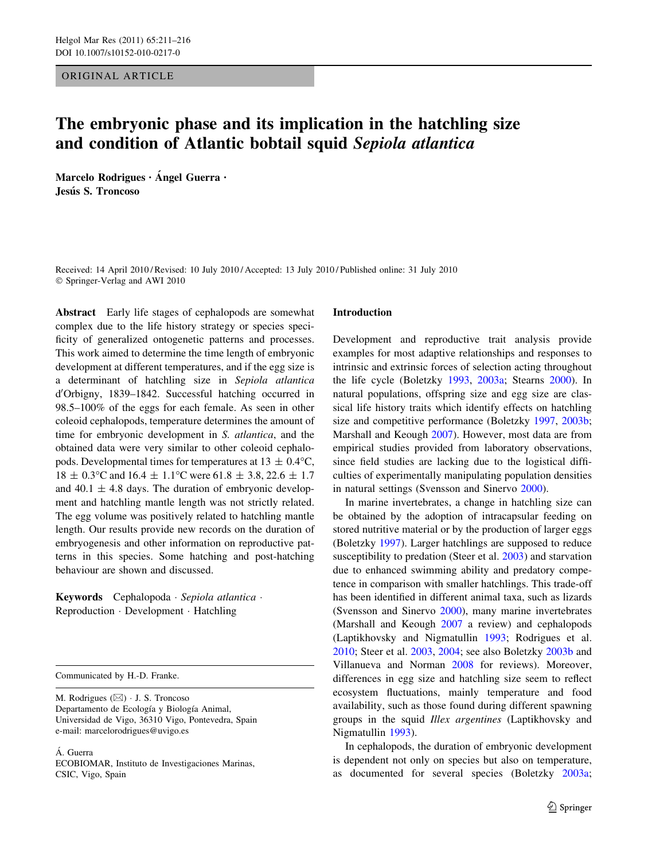ORIGINAL ARTICLE

# The embryonic phase and its implication in the hatchling size and condition of Atlantic bobtail squid Sepiola atlantica

Marcelo Rodrigues · Ángel Guerra · Jesús S. Troncoso

Received: 14 April 2010 / Revised: 10 July 2010 / Accepted: 13 July 2010 / Published online: 31 July 2010 © Springer-Verlag and AWI 2010

Abstract Early life stages of cephalopods are somewhat complex due to the life history strategy or species specificity of generalized ontogenetic patterns and processes. This work aimed to determine the time length of embryonic development at different temperatures, and if the egg size is a determinant of hatchling size in Sepiola atlantica d'Orbigny, 1839-1842. Successful hatching occurred in 98.5–100% of the eggs for each female. As seen in other coleoid cephalopods, temperature determines the amount of time for embryonic development in S. atlantica, and the obtained data were very similar to other coleoid cephalopods. Developmental times for temperatures at  $13 \pm 0.4$ °C,  $18 \pm 0.3$ °C and  $16.4 \pm 1.1$ °C were  $61.8 \pm 3.8$ , 22.6  $\pm 1.7$ and 40.1  $\pm$  4.8 days. The duration of embryonic development and hatchling mantle length was not strictly related. The egg volume was positively related to hatchling mantle length. Our results provide new records on the duration of embryogenesis and other information on reproductive patterns in this species. Some hatching and post-hatching behaviour are shown and discussed.

Keywords Cephalopoda · Sepiola atlantica · Reproduction - Development - Hatchling

Communicated by H.-D. Franke.

M. Rodrigues  $(\boxtimes) \cdot$  J. S. Troncoso Departamento de Ecología y Biología Animal, Universidad de Vigo, 36310 Vigo, Pontevedra, Spain e-mail: marcelorodrigues@uvigo.es

Á. Guerra

ECOBIOMAR, Instituto de Investigaciones Marinas, CSIC, Vigo, Spain

## Introduction

Development and reproductive trait analysis provide examples for most adaptive relationships and responses to intrinsic and extrinsic forces of selection acting throughout the life cycle (Boletzky [1993,](#page-5-0) [2003a](#page-5-0); Stearns [2000](#page-5-0)). In natural populations, offspring size and egg size are classical life history traits which identify effects on hatchling size and competitive performance (Boletzky [1997,](#page-5-0) [2003b](#page-5-0); Marshall and Keough [2007\)](#page-5-0). However, most data are from empirical studies provided from laboratory observations, since field studies are lacking due to the logistical difficulties of experimentally manipulating population densities in natural settings (Svensson and Sinervo [2000\)](#page-5-0).

In marine invertebrates, a change in hatchling size can be obtained by the adoption of intracapsular feeding on stored nutritive material or by the production of larger eggs (Boletzky [1997\)](#page-5-0). Larger hatchlings are supposed to reduce susceptibility to predation (Steer et al. [2003\)](#page-5-0) and starvation due to enhanced swimming ability and predatory competence in comparison with smaller hatchlings. This trade-off has been identified in different animal taxa, such as lizards (Svensson and Sinervo [2000\)](#page-5-0), many marine invertebrates (Marshall and Keough [2007](#page-5-0) a review) and cephalopods (Laptikhovsky and Nigmatullin [1993](#page-5-0); Rodrigues et al. [2010](#page-5-0); Steer et al. [2003,](#page-5-0) [2004;](#page-5-0) see also Boletzky [2003b](#page-5-0) and Villanueva and Norman [2008](#page-5-0) for reviews). Moreover, differences in egg size and hatchling size seem to reflect ecosystem fluctuations, mainly temperature and food availability, such as those found during different spawning groups in the squid Illex argentines (Laptikhovsky and Nigmatullin [1993\)](#page-5-0).

In cephalopods, the duration of embryonic development is dependent not only on species but also on temperature, as documented for several species (Boletzky [2003a](#page-5-0);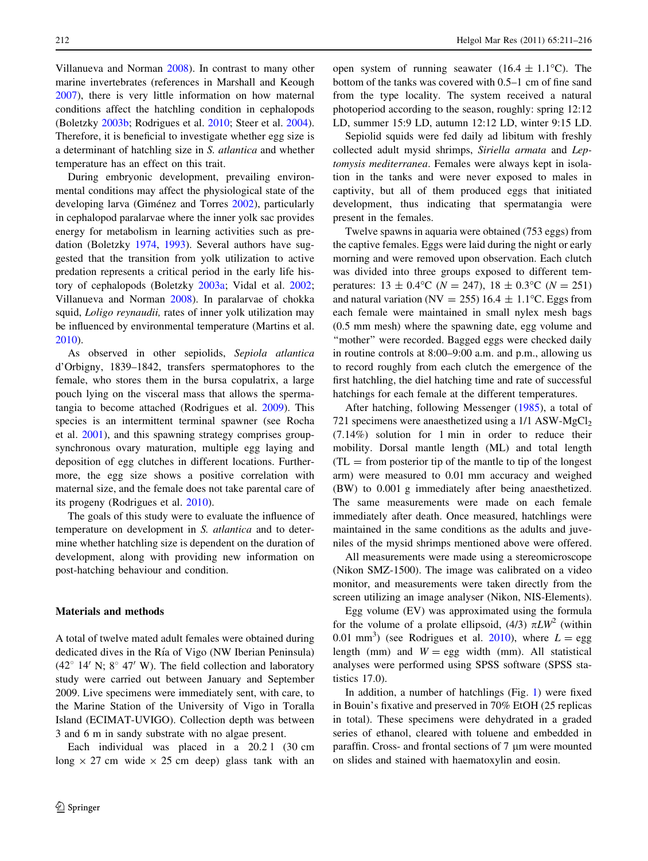Villanueva and Norman [2008\)](#page-5-0). In contrast to many other marine invertebrates (references in Marshall and Keough [2007\)](#page-5-0), there is very little information on how maternal conditions affect the hatchling condition in cephalopods (Boletzky [2003b](#page-5-0); Rodrigues et al. [2010](#page-5-0); Steer et al. [2004](#page-5-0)). Therefore, it is beneficial to investigate whether egg size is a determinant of hatchling size in S. atlantica and whether temperature has an effect on this trait.

During embryonic development, prevailing environmental conditions may affect the physiological state of the developing larva (Giménez and Torres [2002](#page-5-0)), particularly in cephalopod paralarvae where the inner yolk sac provides energy for metabolism in learning activities such as predation (Boletzky [1974](#page-5-0), [1993\)](#page-5-0). Several authors have suggested that the transition from yolk utilization to active predation represents a critical period in the early life history of cephalopods (Boletzky [2003a;](#page-5-0) Vidal et al. [2002](#page-5-0); Villanueva and Norman [2008\)](#page-5-0). In paralarvae of chokka squid, *Loligo reynaudii*, rates of inner yolk utilization may be influenced by environmental temperature (Martins et al. [2010\)](#page-5-0).

As observed in other sepiolids, Sepiola atlantica d'Orbigny, 1839–1842, transfers spermatophores to the female, who stores them in the bursa copulatrix, a large pouch lying on the visceral mass that allows the spermatangia to become attached (Rodrigues et al. [2009](#page-5-0)). This species is an intermittent terminal spawner (see Rocha et al. [2001](#page-5-0)), and this spawning strategy comprises groupsynchronous ovary maturation, multiple egg laying and deposition of egg clutches in different locations. Furthermore, the egg size shows a positive correlation with maternal size, and the female does not take parental care of its progeny (Rodrigues et al. [2010](#page-5-0)).

The goals of this study were to evaluate the influence of temperature on development in S. atlantica and to determine whether hatchling size is dependent on the duration of development, along with providing new information on post-hatching behaviour and condition.

## Materials and methods

A total of twelve mated adult females were obtained during dedicated dives in the Ría of Vigo (NW Iberian Peninsula)  $(42^{\circ}$  14' N; 8 $^{\circ}$  47' W). The field collection and laboratory study were carried out between January and September 2009. Live specimens were immediately sent, with care, to the Marine Station of the University of Vigo in Toralla Island (ECIMAT-UVIGO). Collection depth was between 3 and 6 m in sandy substrate with no algae present.

Each individual was placed in a 20.2 l (30 cm long  $\times$  27 cm wide  $\times$  25 cm deep) glass tank with an open system of running seawater (16.4  $\pm$  1.1<sup>o</sup>C). The bottom of the tanks was covered with 0.5–1 cm of fine sand from the type locality. The system received a natural photoperiod according to the season, roughly: spring 12:12 LD, summer 15:9 LD, autumn 12:12 LD, winter 9:15 LD.

Sepiolid squids were fed daily ad libitum with freshly collected adult mysid shrimps, Siriella armata and Leptomysis mediterranea. Females were always kept in isolation in the tanks and were never exposed to males in captivity, but all of them produced eggs that initiated development, thus indicating that spermatangia were present in the females.

Twelve spawns in aquaria were obtained (753 eggs) from the captive females. Eggs were laid during the night or early morning and were removed upon observation. Each clutch was divided into three groups exposed to different temperatures:  $13 \pm 0.4$ °C ( $N = 247$ ),  $18 \pm 0.3$ °C ( $N = 251$ ) and natural variation (NV = 255) 16.4  $\pm$  1.1°C. Eggs from each female were maintained in small nylex mesh bags (0.5 mm mesh) where the spawning date, egg volume and "mother" were recorded. Bagged eggs were checked daily in routine controls at 8:00–9:00 a.m. and p.m., allowing us to record roughly from each clutch the emergence of the first hatchling, the diel hatching time and rate of successful hatchings for each female at the different temperatures.

After hatching, following Messenger [\(1985](#page-5-0)), a total of 721 specimens were anaesthetized using a  $1/1$  ASW-MgCl<sub>2</sub> (7.14%) solution for 1 min in order to reduce their mobility. Dorsal mantle length (ML) and total length  $(TL = from posterior tip of the mantle to tip of the longest$ arm) were measured to 0.01 mm accuracy and weighed (BW) to 0.001 g immediately after being anaesthetized. The same measurements were made on each female immediately after death. Once measured, hatchlings were maintained in the same conditions as the adults and juveniles of the mysid shrimps mentioned above were offered.

All measurements were made using a stereomicroscope (Nikon SMZ-1500). The image was calibrated on a video monitor, and measurements were taken directly from the screen utilizing an image analyser (Nikon, NIS-Elements).

Egg volume (EV) was approximated using the formula for the volume of a prolate ellipsoid, (4/3)  $\pi L W^2$  (within 0.01 mm<sup>3</sup>) (see Rodrigues et al. [2010](#page-5-0)), where  $L =$  egg length (mm) and  $W =$  egg width (mm). All statistical analyses were performed using SPSS software (SPSS statistics 17.0).

In addition, a number of hatchlings (Fig. [1](#page-2-0)) were fixed in Bouin's fixative and preserved in 70% EtOH (25 replicas in total). These specimens were dehydrated in a graded series of ethanol, cleared with toluene and embedded in paraffin. Cross- and frontal sections of 7 µm were mounted on slides and stained with haematoxylin and eosin.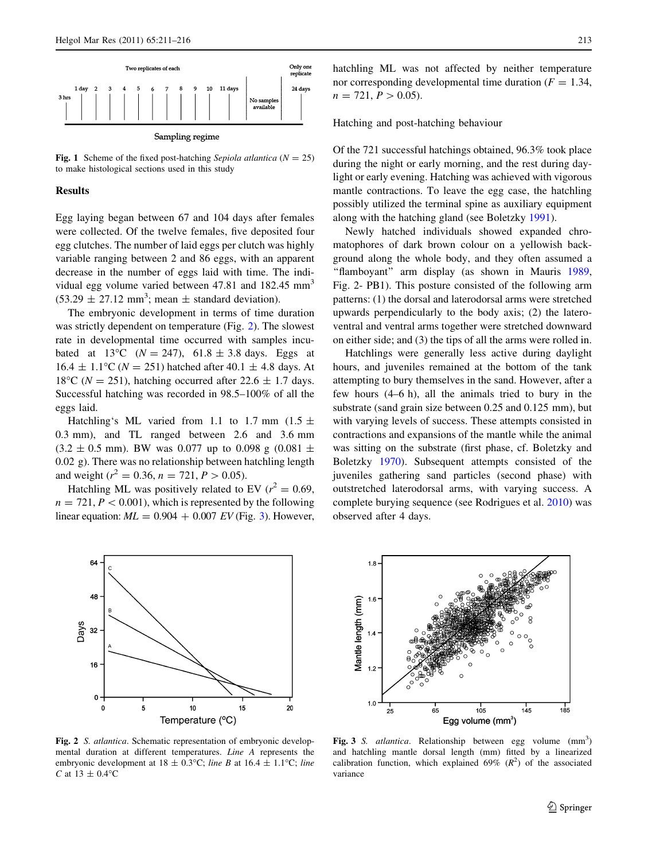<span id="page-2-0"></span>

Fig. 1 Scheme of the fixed post-hatching Sepiola atlantica ( $N = 25$ ) to make histological sections used in this study

## Results

Egg laying began between 67 and 104 days after females were collected. Of the twelve females, five deposited four egg clutches. The number of laid eggs per clutch was highly variable ranging between 2 and 86 eggs, with an apparent decrease in the number of eggs laid with time. The individual egg volume varied between 47.81 and 182.45 mm<sup>3</sup>  $(53.29 \pm 27.12 \text{ mm}^3)$ ; mean  $\pm$  standard deviation).

The embryonic development in terms of time duration was strictly dependent on temperature (Fig. 2). The slowest rate in developmental time occurred with samples incubated at 13<sup>o</sup>C ( $N = 247$ ), 61.8 ± 3.8 days. Eggs at  $16.4 \pm 1.1^{\circ}$ C (N = 251) hatched after 40.1  $\pm$  4.8 days. At 18<sup>o</sup>C ( $N = 251$ ), hatching occurred after 22.6  $\pm$  1.7 days. Successful hatching was recorded in 98.5–100% of all the eggs laid.

Hatchling's ML varied from 1.1 to 1.7 mm (1.5  $\pm$ 0.3 mm), and TL ranged between 2.6 and 3.6 mm  $(3.2 \pm 0.5 \text{ mm})$ . BW was 0.077 up to 0.098 g  $(0.081 \pm 0.05 \text{ mm})$ 0.02 g). There was no relationship between hatchling length and weight ( $r^2 = 0.36$ ,  $n = 721$ ,  $P > 0.05$ ).

Hatchling ML was positively related to EV ( $r^2 = 0.69$ ,  $n = 721, P < 0.001$ , which is represented by the following linear equation:  $ML = 0.904 + 0.007$  EV (Fig. 3). However,

hatchling ML was not affected by neither temperature nor corresponding developmental time duration ( $F = 1.34$ ,  $n = 721, P > 0.05$ .

Hatching and post-hatching behaviour

Of the 721 successful hatchings obtained, 96.3% took place during the night or early morning, and the rest during daylight or early evening. Hatching was achieved with vigorous mantle contractions. To leave the egg case, the hatchling possibly utilized the terminal spine as auxiliary equipment along with the hatching gland (see Boletzky [1991](#page-5-0)).

Newly hatched individuals showed expanded chromatophores of dark brown colour on a yellowish background along the whole body, and they often assumed a ''flamboyant'' arm display (as shown in Mauris [1989,](#page-5-0) Fig. 2- PB1). This posture consisted of the following arm patterns: (1) the dorsal and laterodorsal arms were stretched upwards perpendicularly to the body axis; (2) the lateroventral and ventral arms together were stretched downward on either side; and (3) the tips of all the arms were rolled in.

Hatchlings were generally less active during daylight hours, and juveniles remained at the bottom of the tank attempting to bury themselves in the sand. However, after a few hours (4–6 h), all the animals tried to bury in the substrate (sand grain size between 0.25 and 0.125 mm), but with varying levels of success. These attempts consisted in contractions and expansions of the mantle while the animal was sitting on the substrate (first phase, cf. Boletzky and Boletzky [1970\)](#page-5-0). Subsequent attempts consisted of the juveniles gathering sand particles (second phase) with outstretched laterodorsal arms, with varying success. A complete burying sequence (see Rodrigues et al. [2010\)](#page-5-0) was observed after 4 days.



Fig. 2 S. atlantica. Schematic representation of embryonic developmental duration at different temperatures. Line A represents the embryonic development at  $18 \pm 0.3$ °C; line B at  $16.4 \pm 1.1$ °C; line C at  $13 \pm 0.4$ °C



Fig. 3 S. atlantica. Relationship between egg volume (mm<sup>3</sup>) and hatchling mantle dorsal length (mm) fitted by a linearized calibration function, which explained  $69\%$  ( $R^2$ ) of the associated variance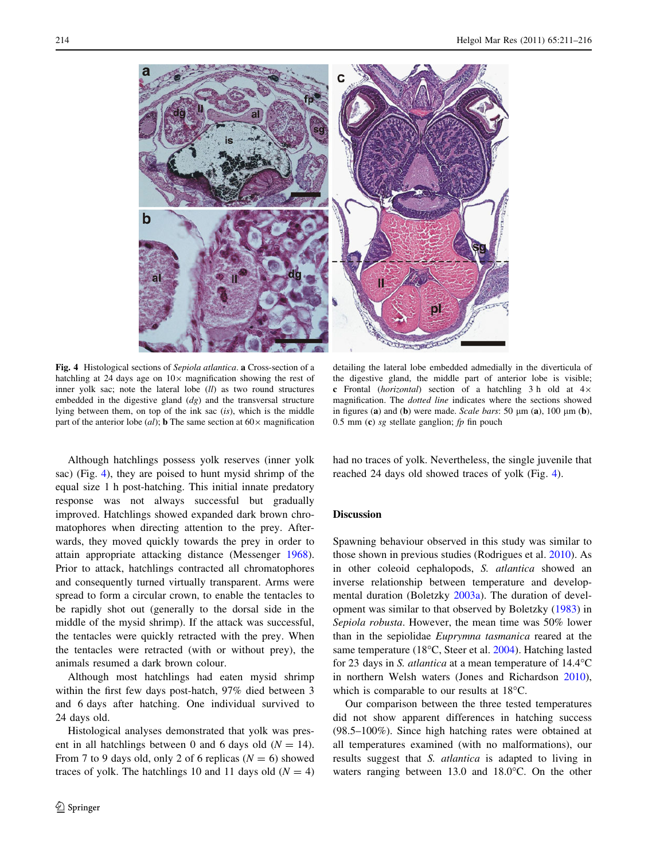<span id="page-3-0"></span>

Fig. 4 Histological sections of Sepiola atlantica. a Cross-section of a hatchling at 24 days age on  $10\times$  magnification showing the rest of inner yolk sac; note the lateral lobe (ll) as two round structures embedded in the digestive gland  $(dg)$  and the transversal structure lying between them, on top of the ink sac  $(is)$ , which is the middle part of the anterior lobe (al); **b** The same section at  $60 \times$  magnification

Although hatchlings possess yolk reserves (inner yolk sac) (Fig. 4), they are poised to hunt mysid shrimp of the equal size 1 h post-hatching. This initial innate predatory response was not always successful but gradually improved. Hatchlings showed expanded dark brown chromatophores when directing attention to the prey. Afterwards, they moved quickly towards the prey in order to attain appropriate attacking distance (Messenger [1968](#page-5-0)). Prior to attack, hatchlings contracted all chromatophores and consequently turned virtually transparent. Arms were spread to form a circular crown, to enable the tentacles to be rapidly shot out (generally to the dorsal side in the middle of the mysid shrimp). If the attack was successful, the tentacles were quickly retracted with the prey. When the tentacles were retracted (with or without prey), the animals resumed a dark brown colour.

Although most hatchlings had eaten mysid shrimp within the first few days post-hatch, 97% died between 3 and 6 days after hatching. One individual survived to 24 days old.

Histological analyses demonstrated that yolk was present in all hatchlings between 0 and 6 days old  $(N = 14)$ . From 7 to 9 days old, only 2 of 6 replicas ( $N = 6$ ) showed traces of yolk. The hatchlings 10 and 11 days old  $(N = 4)$ 

detailing the lateral lobe embedded admedially in the diverticula of the digestive gland, the middle part of anterior lobe is visible; c Frontal (horizontal) section of a hatchling 3 h old at  $4 \times$ magnification. The dotted line indicates where the sections showed in figures (a) and (b) were made. Scale bars: 50  $\mu$ m (a), 100  $\mu$ m (b), 0.5 mm (c) sg stellate ganglion;  $fp$  fin pouch

had no traces of yolk. Nevertheless, the single juvenile that reached 24 days old showed traces of yolk (Fig. 4).

# Discussion

Spawning behaviour observed in this study was similar to those shown in previous studies (Rodrigues et al. [2010\)](#page-5-0). As in other coleoid cephalopods, S. atlantica showed an inverse relationship between temperature and developmental duration (Boletzky [2003a\)](#page-5-0). The duration of development was similar to that observed by Boletzky [\(1983](#page-5-0)) in Sepiola robusta. However, the mean time was 50% lower than in the sepiolidae Euprymna tasmanica reared at the same temperature (18°C, Steer et al. [2004](#page-5-0)). Hatching lasted for 23 days in S. *atlantica* at a mean temperature of  $14.4^{\circ}$ C in northern Welsh waters (Jones and Richardson [2010](#page-5-0)), which is comparable to our results at  $18^{\circ}$ C.

Our comparison between the three tested temperatures did not show apparent differences in hatching success (98.5–100%). Since high hatching rates were obtained at all temperatures examined (with no malformations), our results suggest that S. atlantica is adapted to living in waters ranging between  $13.0$  and  $18.0^{\circ}$ C. On the other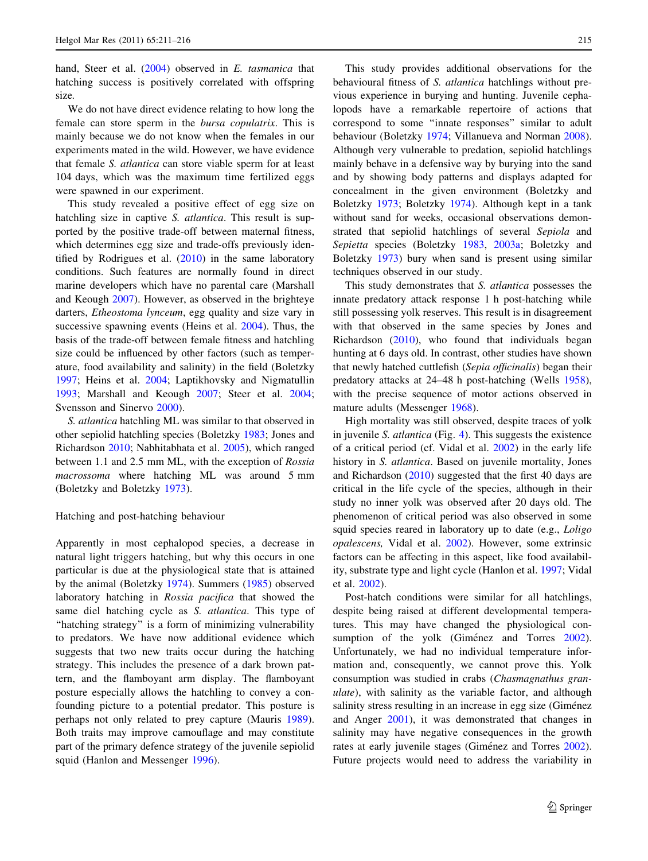hand, Steer et al. [\(2004](#page-5-0)) observed in E. tasmanica that hatching success is positively correlated with offspring size.

We do not have direct evidence relating to how long the female can store sperm in the bursa copulatrix. This is mainly because we do not know when the females in our experiments mated in the wild. However, we have evidence that female S. atlantica can store viable sperm for at least 104 days, which was the maximum time fertilized eggs were spawned in our experiment.

This study revealed a positive effect of egg size on hatchling size in captive S. *atlantica*. This result is supported by the positive trade-off between maternal fitness, which determines egg size and trade-offs previously identified by Rodrigues et al.  $(2010)$  $(2010)$  in the same laboratory conditions. Such features are normally found in direct marine developers which have no parental care (Marshall and Keough [2007](#page-5-0)). However, as observed in the brighteye darters, Etheostoma lynceum, egg quality and size vary in successive spawning events (Heins et al. [2004\)](#page-5-0). Thus, the basis of the trade-off between female fitness and hatchling size could be influenced by other factors (such as temperature, food availability and salinity) in the field (Boletzky [1997;](#page-5-0) Heins et al. [2004;](#page-5-0) Laptikhovsky and Nigmatullin [1993;](#page-5-0) Marshall and Keough [2007;](#page-5-0) Steer et al. [2004](#page-5-0); Svensson and Sinervo [2000](#page-5-0)).

S. atlantica hatchling ML was similar to that observed in other sepiolid hatchling species (Boletzky [1983;](#page-5-0) Jones and Richardson [2010;](#page-5-0) Nabhitabhata et al. [2005](#page-5-0)), which ranged between 1.1 and 2.5 mm ML, with the exception of Rossia macrossoma where hatching ML was around 5 mm (Boletzky and Boletzky [1973](#page-5-0)).

## Hatching and post-hatching behaviour

Apparently in most cephalopod species, a decrease in natural light triggers hatching, but why this occurs in one particular is due at the physiological state that is attained by the animal (Boletzky [1974](#page-5-0)). Summers [\(1985\)](#page-5-0) observed laboratory hatching in Rossia pacifica that showed the same diel hatching cycle as S. atlantica. This type of "hatching strategy" is a form of minimizing vulnerability to predators. We have now additional evidence which suggests that two new traits occur during the hatching strategy. This includes the presence of a dark brown pattern, and the flamboyant arm display. The flamboyant posture especially allows the hatchling to convey a confounding picture to a potential predator. This posture is perhaps not only related to prey capture (Mauris [1989](#page-5-0)). Both traits may improve camouflage and may constitute part of the primary defence strategy of the juvenile sepiolid squid (Hanlon and Messenger [1996](#page-5-0)).

This study provides additional observations for the behavioural fitness of S. atlantica hatchlings without previous experience in burying and hunting. Juvenile cephalopods have a remarkable repertoire of actions that correspond to some ''innate responses'' similar to adult behaviour (Boletzky [1974;](#page-5-0) Villanueva and Norman [2008](#page-5-0)). Although very vulnerable to predation, sepiolid hatchlings mainly behave in a defensive way by burying into the sand and by showing body patterns and displays adapted for concealment in the given environment (Boletzky and Boletzky [1973](#page-5-0); Boletzky [1974](#page-5-0)). Although kept in a tank without sand for weeks, occasional observations demonstrated that sepiolid hatchlings of several Sepiola and Sepietta species (Boletzky [1983](#page-5-0), [2003a](#page-5-0); Boletzky and Boletzky [1973\)](#page-5-0) bury when sand is present using similar techniques observed in our study.

This study demonstrates that S. atlantica possesses the innate predatory attack response 1 h post-hatching while still possessing yolk reserves. This result is in disagreement with that observed in the same species by Jones and Richardson ([2010\)](#page-5-0), who found that individuals began hunting at 6 days old. In contrast, other studies have shown that newly hatched cuttlefish (Sepia officinalis) began their predatory attacks at 24–48 h post-hatching (Wells [1958](#page-5-0)), with the precise sequence of motor actions observed in mature adults (Messenger [1968](#page-5-0)).

High mortality was still observed, despite traces of yolk in juvenile S. atlantica (Fig. [4](#page-3-0)). This suggests the existence of a critical period (cf. Vidal et al. [2002](#page-5-0)) in the early life history in S. atlantica. Based on juvenile mortality, Jones and Richardson ([2010\)](#page-5-0) suggested that the first 40 days are critical in the life cycle of the species, although in their study no inner yolk was observed after 20 days old. The phenomenon of critical period was also observed in some squid species reared in laboratory up to date (e.g., *Loligo* opalescens, Vidal et al. [2002](#page-5-0)). However, some extrinsic factors can be affecting in this aspect, like food availability, substrate type and light cycle (Hanlon et al. [1997;](#page-5-0) Vidal et al. [2002\)](#page-5-0).

Post-hatch conditions were similar for all hatchlings, despite being raised at different developmental temperatures. This may have changed the physiological con-sumption of the yolk (Giménez and Torres [2002](#page-5-0)). Unfortunately, we had no individual temperature information and, consequently, we cannot prove this. Yolk consumption was studied in crabs (Chasmagnathus granulate), with salinity as the variable factor, and although salinity stress resulting in an increase in egg size (Giménez and Anger [2001](#page-5-0)), it was demonstrated that changes in salinity may have negative consequences in the growth rates at early juvenile stages (Giménez and Torres [2002](#page-5-0)). Future projects would need to address the variability in